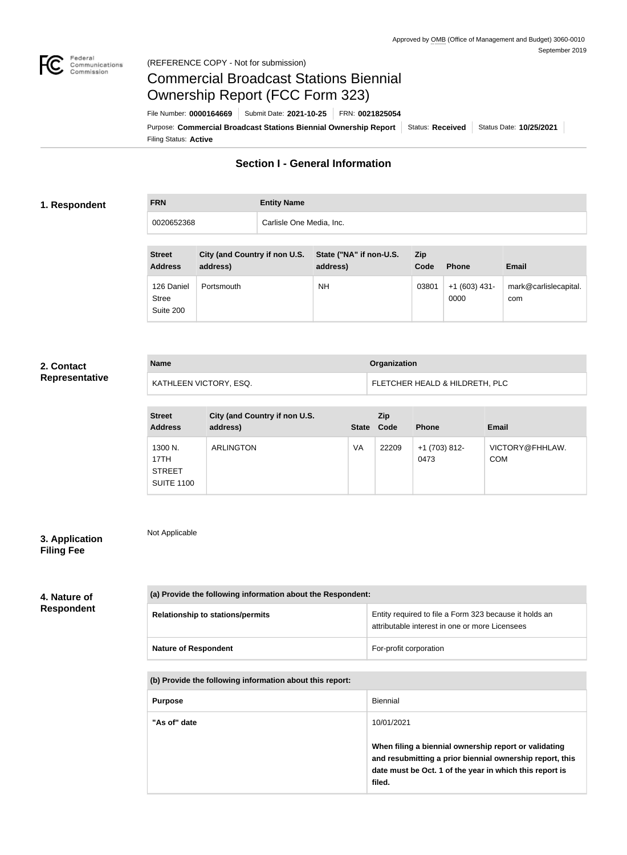

Not Applicable

# Commercial Broadcast Stations Biennial Ownership Report (FCC Form 323)

Filing Status: **Active** Purpose: Commercial Broadcast Stations Biennial Ownership Report Status: Received | Status Date: 10/25/2021 File Number: **0000164669** Submit Date: **2021-10-25** FRN: **0021825054**

## **Section I - General Information**

### **1. Respondent**

**FRN Entity Name**

0020652368 **Carlisle One Media, Inc.** 

| <b>Street</b><br><b>Address</b>         | City (and Country if non U.S.<br>address) | State ("NA" if non-U.S.<br>address) | Zip<br>Code | <b>Phone</b>           | <b>Email</b>                 |
|-----------------------------------------|-------------------------------------------|-------------------------------------|-------------|------------------------|------------------------------|
| 126 Daniel<br><b>Stree</b><br>Suite 200 | Portsmouth                                | <b>NH</b>                           | 03801       | $+1(603)$ 431-<br>0000 | mark@carlislecapital.<br>com |

## **2. Contact Representative**

| <b>Name</b>            | Organization                   |
|------------------------|--------------------------------|
| KATHLEEN VICTORY, ESQ. | FLETCHER HEALD & HILDRETH, PLC |

| <b>Street</b><br><b>Address</b>                       | City (and Country if non U.S.<br>address) | State Code | <b>Zip</b> | <b>Phone</b>          | <b>Email</b>                  |
|-------------------------------------------------------|-------------------------------------------|------------|------------|-----------------------|-------------------------------|
| 1300 N.<br>17TH<br><b>STREET</b><br><b>SUITE 1100</b> | <b>ARLINGTON</b>                          | VA         | 22209      | +1 (703) 812-<br>0473 | VICTORY@FHHLAW.<br><b>COM</b> |

## **3. Application Filing Fee**

## **4. Nature of Respondent**

| (a) Provide the following information about the Respondent: |                                                                                                          |  |
|-------------------------------------------------------------|----------------------------------------------------------------------------------------------------------|--|
| <b>Relationship to stations/permits</b>                     | Entity required to file a Form 323 because it holds an<br>attributable interest in one or more Licensees |  |
| <b>Nature of Respondent</b>                                 | For-profit corporation                                                                                   |  |

#### **(b) Provide the following information about this report:**

| <b>Purpose</b> | <b>Biennial</b>                                                                                                                                                                        |
|----------------|----------------------------------------------------------------------------------------------------------------------------------------------------------------------------------------|
| "As of" date   | 10/01/2021                                                                                                                                                                             |
|                | When filing a biennial ownership report or validating<br>and resubmitting a prior biennial ownership report, this<br>date must be Oct. 1 of the year in which this report is<br>filed. |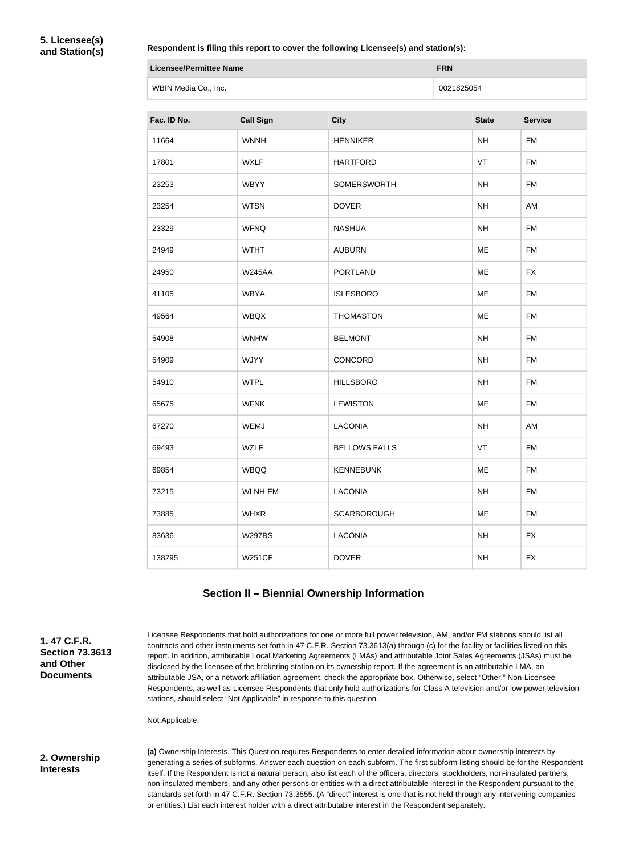**5. Licensee(s) and Station(s)**

#### **Respondent is filing this report to cover the following Licensee(s) and station(s):**

| Licensee/Permittee Name | <b>FRN</b> |
|-------------------------|------------|
| WBIN Media Co., Inc.    | 0021825054 |

| Fac. ID No. | <b>Call Sign</b> | <b>City</b>          | <b>State</b> | <b>Service</b> |
|-------------|------------------|----------------------|--------------|----------------|
| 11664       | <b>WNNH</b>      | <b>HENNIKER</b>      | <b>NH</b>    | <b>FM</b>      |
| 17801       | <b>WXLF</b>      | <b>HARTFORD</b>      | VT           | <b>FM</b>      |
| 23253       | <b>WBYY</b>      | <b>SOMERSWORTH</b>   | <b>NH</b>    | <b>FM</b>      |
| 23254       | <b>WTSN</b>      | <b>DOVER</b>         | NH           | AM             |
| 23329       | <b>WFNQ</b>      | <b>NASHUA</b>        | <b>NH</b>    | <b>FM</b>      |
| 24949       | <b>WTHT</b>      | <b>AUBURN</b>        | ME           | <b>FM</b>      |
| 24950       | <b>W245AA</b>    | <b>PORTLAND</b>      | ME           | <b>FX</b>      |
| 41105       | <b>WBYA</b>      | <b>ISLESBORO</b>     | ME           | <b>FM</b>      |
| 49564       | <b>WBQX</b>      | <b>THOMASTON</b>     | ME           | <b>FM</b>      |
| 54908       | <b>WNHW</b>      | <b>BELMONT</b>       | NH           | <b>FM</b>      |
| 54909       | <b>WJYY</b>      | CONCORD              | <b>NH</b>    | <b>FM</b>      |
| 54910       | <b>WTPL</b>      | <b>HILLSBORO</b>     | <b>NH</b>    | <b>FM</b>      |
| 65675       | <b>WFNK</b>      | <b>LEWISTON</b>      | ME           | <b>FM</b>      |
| 67270       | <b>WEMJ</b>      | LACONIA              | NH           | AM             |
| 69493       | <b>WZLF</b>      | <b>BELLOWS FALLS</b> | VT           | <b>FM</b>      |
| 69854       | <b>WBQQ</b>      | <b>KENNEBUNK</b>     | ME           | FM             |
| 73215       | <b>WLNH-FM</b>   | <b>LACONIA</b>       | <b>NH</b>    | <b>FM</b>      |
| 73885       | <b>WHXR</b>      | <b>SCARBOROUGH</b>   | ME           | <b>FM</b>      |
| 83636       | <b>W297BS</b>    | <b>LACONIA</b>       | NH           | <b>FX</b>      |
| 138295      | <b>W251CF</b>    | <b>DOVER</b>         | <b>NH</b>    | <b>FX</b>      |

## **Section II – Biennial Ownership Information**

**1. 47 C.F.R. Section 73.3613 and Other Documents**

Licensee Respondents that hold authorizations for one or more full power television, AM, and/or FM stations should list all contracts and other instruments set forth in 47 C.F.R. Section 73.3613(a) through (c) for the facility or facilities listed on this report. In addition, attributable Local Marketing Agreements (LMAs) and attributable Joint Sales Agreements (JSAs) must be disclosed by the licensee of the brokering station on its ownership report. If the agreement is an attributable LMA, an attributable JSA, or a network affiliation agreement, check the appropriate box. Otherwise, select "Other." Non-Licensee Respondents, as well as Licensee Respondents that only hold authorizations for Class A television and/or low power television stations, should select "Not Applicable" in response to this question.

Not Applicable.

### **2. Ownership Interests**

**(a)** Ownership Interests. This Question requires Respondents to enter detailed information about ownership interests by generating a series of subforms. Answer each question on each subform. The first subform listing should be for the Respondent itself. If the Respondent is not a natural person, also list each of the officers, directors, stockholders, non-insulated partners, non-insulated members, and any other persons or entities with a direct attributable interest in the Respondent pursuant to the standards set forth in 47 C.F.R. Section 73.3555. (A "direct" interest is one that is not held through any intervening companies or entities.) List each interest holder with a direct attributable interest in the Respondent separately.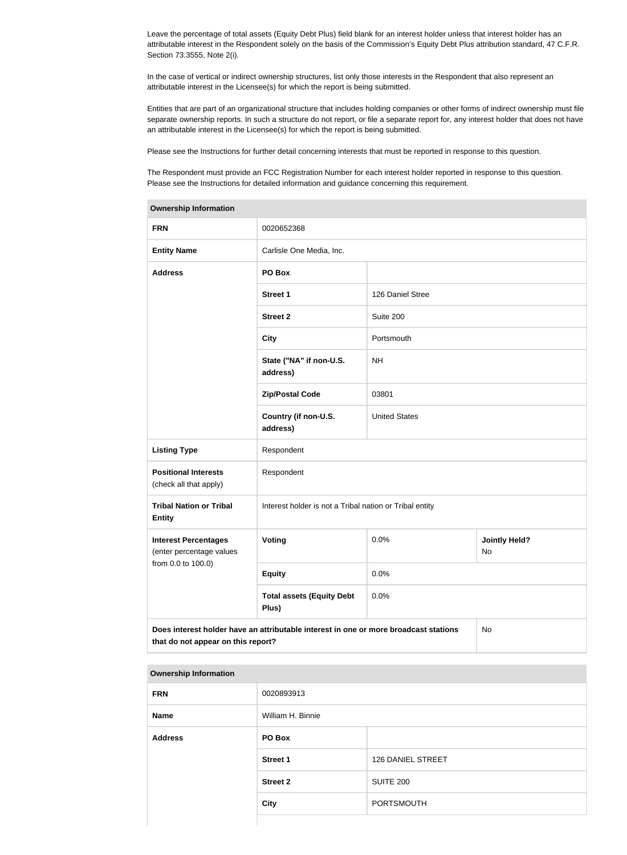Leave the percentage of total assets (Equity Debt Plus) field blank for an interest holder unless that interest holder has an attributable interest in the Respondent solely on the basis of the Commission's Equity Debt Plus attribution standard, 47 C.F.R. Section 73.3555, Note 2(i).

In the case of vertical or indirect ownership structures, list only those interests in the Respondent that also represent an attributable interest in the Licensee(s) for which the report is being submitted.

Entities that are part of an organizational structure that includes holding companies or other forms of indirect ownership must file separate ownership reports. In such a structure do not report, or file a separate report for, any interest holder that does not have an attributable interest in the Licensee(s) for which the report is being submitted.

Please see the Instructions for further detail concerning interests that must be reported in response to this question.

The Respondent must provide an FCC Registration Number for each interest holder reported in response to this question. Please see the Instructions for detailed information and guidance concerning this requirement.

| <b>Ownership Information</b>                            |                                                                                      |                      |                            |  |
|---------------------------------------------------------|--------------------------------------------------------------------------------------|----------------------|----------------------------|--|
| <b>FRN</b>                                              | 0020652368                                                                           |                      |                            |  |
| <b>Entity Name</b>                                      | Carlisle One Media, Inc.                                                             |                      |                            |  |
| <b>Address</b>                                          | PO Box                                                                               |                      |                            |  |
|                                                         | <b>Street 1</b>                                                                      | 126 Daniel Stree     |                            |  |
|                                                         | <b>Street 2</b>                                                                      | Suite 200            |                            |  |
|                                                         | <b>City</b>                                                                          | Portsmouth           |                            |  |
|                                                         | State ("NA" if non-U.S.<br>address)                                                  | <b>NH</b>            |                            |  |
|                                                         | <b>Zip/Postal Code</b>                                                               | 03801                |                            |  |
|                                                         | Country (if non-U.S.<br>address)                                                     | <b>United States</b> |                            |  |
| <b>Listing Type</b>                                     | Respondent                                                                           |                      |                            |  |
| <b>Positional Interests</b><br>(check all that apply)   | Respondent                                                                           |                      |                            |  |
| <b>Tribal Nation or Tribal</b><br><b>Entity</b>         | Interest holder is not a Tribal nation or Tribal entity                              |                      |                            |  |
| <b>Interest Percentages</b><br>(enter percentage values | Voting                                                                               | 0.0%                 | <b>Jointly Held?</b><br>No |  |
| from 0.0 to 100.0)                                      | <b>Equity</b>                                                                        | 0.0%                 |                            |  |
|                                                         | <b>Total assets (Equity Debt</b><br>Plus)                                            | 0.0%                 |                            |  |
| that do not appear on this report?                      | Does interest holder have an attributable interest in one or more broadcast stations |                      | No                         |  |

#### **Ownership Information**

| <b>FRN</b>     | 0020893913        |                          |
|----------------|-------------------|--------------------------|
| <b>Name</b>    | William H. Binnie |                          |
| <b>Address</b> | PO Box            |                          |
|                | <b>Street 1</b>   | <b>126 DANIEL STREET</b> |
|                | <b>Street 2</b>   | <b>SUITE 200</b>         |
|                | <b>City</b>       | PORTSMOUTH               |
|                |                   |                          |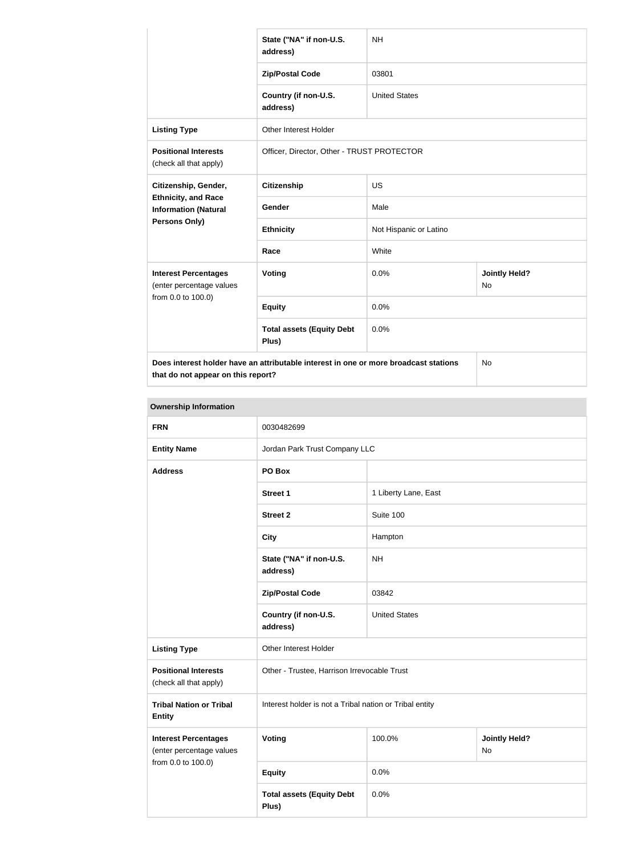|                                                           | State ("NA" if non-U.S.<br>address)                                                  | <b>NH</b>              |                                   |
|-----------------------------------------------------------|--------------------------------------------------------------------------------------|------------------------|-----------------------------------|
|                                                           | <b>Zip/Postal Code</b>                                                               | 03801                  |                                   |
|                                                           | Country (if non-U.S.<br>address)                                                     | <b>United States</b>   |                                   |
| <b>Listing Type</b>                                       | Other Interest Holder                                                                |                        |                                   |
| <b>Positional Interests</b><br>(check all that apply)     | Officer, Director, Other - TRUST PROTECTOR                                           |                        |                                   |
| Citizenship, Gender,                                      | <b>Citizenship</b>                                                                   | <b>US</b>              |                                   |
| <b>Ethnicity, and Race</b><br><b>Information (Natural</b> | Gender                                                                               | Male                   |                                   |
| <b>Persons Only)</b>                                      | <b>Ethnicity</b>                                                                     | Not Hispanic or Latino |                                   |
|                                                           | Race                                                                                 | White                  |                                   |
| <b>Interest Percentages</b><br>(enter percentage values   | Voting                                                                               | 0.0%                   | <b>Jointly Held?</b><br><b>No</b> |
| from 0.0 to 100.0)                                        | <b>Equity</b>                                                                        | 0.0%                   |                                   |
|                                                           | <b>Total assets (Equity Debt</b><br>Plus)                                            | 0.0%                   |                                   |
|                                                           | Does interest holder have an attributable interest in one or more broadcast stations |                        | No                                |

**that do not appear on this report?**

**Ownership Information FRN** 0030482699 **Entity Name Company LLC** Jordan Park Trust Company LLC **Address PO Box Street 1 1 Liberty Lane, East Street 2** Suite 100 **City Hampton State ("NA" if non-U.S. address)** NH **Zip/Postal Code** 03842 **Country (if non-U.S. address)** United States **Listing Type Circuit** Other Interest Holder **Positional Interests** (check all that apply) Other - Trustee, Harrison Irrevocable Trust **Tribal Nation or Tribal Entity** Interest holder is not a Tribal nation or Tribal entity **Interest Percentages** (enter percentage values from 0.0 to 100.0) **Voting 100.0% Jointly Held?** No **Equity** 0.0% **Total assets (Equity Debt Plus)** 0.0%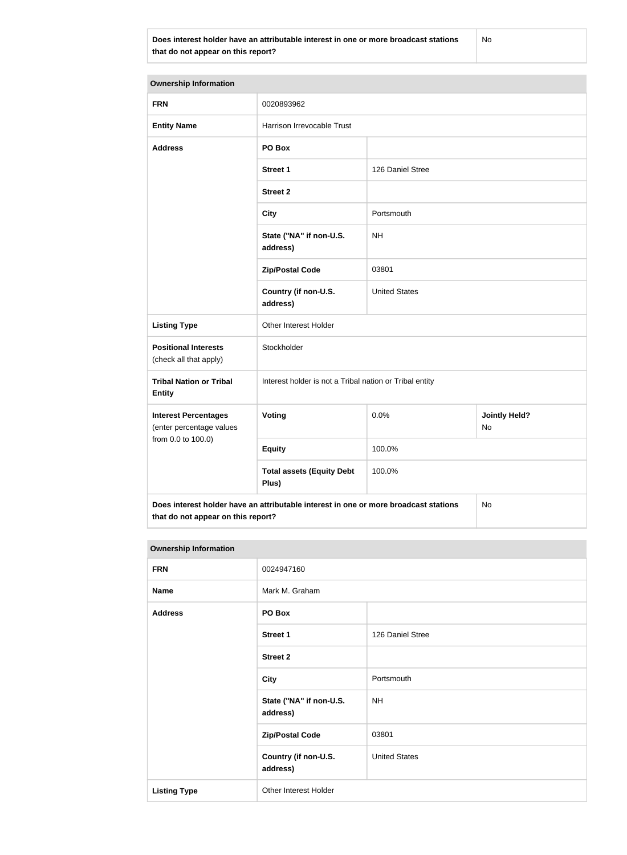**Does interest holder have an attributable interest in one or more broadcast stations that do not appear on this report?**

No

| <b>Ownership Information</b>                            |                                                         |                                                                                                       |                            |  |
|---------------------------------------------------------|---------------------------------------------------------|-------------------------------------------------------------------------------------------------------|----------------------------|--|
| <b>FRN</b>                                              | 0020893962                                              |                                                                                                       |                            |  |
| <b>Entity Name</b>                                      | Harrison Irrevocable Trust                              |                                                                                                       |                            |  |
| <b>Address</b>                                          | PO Box                                                  |                                                                                                       |                            |  |
|                                                         | <b>Street 1</b>                                         | 126 Daniel Stree                                                                                      |                            |  |
|                                                         | <b>Street 2</b>                                         |                                                                                                       |                            |  |
|                                                         | <b>City</b>                                             | Portsmouth                                                                                            |                            |  |
|                                                         | State ("NA" if non-U.S.<br>address)                     | <b>NH</b>                                                                                             |                            |  |
|                                                         | <b>Zip/Postal Code</b>                                  | 03801                                                                                                 |                            |  |
|                                                         | Country (if non-U.S.<br>address)                        | <b>United States</b>                                                                                  |                            |  |
| <b>Listing Type</b>                                     | Other Interest Holder                                   |                                                                                                       |                            |  |
| <b>Positional Interests</b><br>(check all that apply)   | Stockholder                                             |                                                                                                       |                            |  |
| <b>Tribal Nation or Tribal</b><br><b>Entity</b>         | Interest holder is not a Tribal nation or Tribal entity |                                                                                                       |                            |  |
| <b>Interest Percentages</b><br>(enter percentage values | Voting                                                  | 0.0%                                                                                                  | <b>Jointly Held?</b><br>No |  |
| from 0.0 to 100.0)                                      | <b>Equity</b>                                           | 100.0%                                                                                                |                            |  |
|                                                         | <b>Total assets (Equity Debt</b><br>Plus)               | 100.0%                                                                                                |                            |  |
|                                                         |                                                         | Does interest holder have an attributable interest in one or more broadcast stations<br>$\mathsf{No}$ |                            |  |

**that do not appear on this report?**

| <b>Ownership Information</b> |                                     |                      |
|------------------------------|-------------------------------------|----------------------|
| <b>FRN</b>                   | 0024947160                          |                      |
| <b>Name</b>                  | Mark M. Graham                      |                      |
| <b>Address</b>               | PO Box                              |                      |
|                              | <b>Street 1</b>                     | 126 Daniel Stree     |
|                              | <b>Street 2</b>                     |                      |
|                              | <b>City</b>                         | Portsmouth           |
|                              | State ("NA" if non-U.S.<br>address) | <b>NH</b>            |
|                              | <b>Zip/Postal Code</b>              | 03801                |
|                              | Country (if non-U.S.<br>address)    | <b>United States</b> |
| <b>Listing Type</b>          | Other Interest Holder               |                      |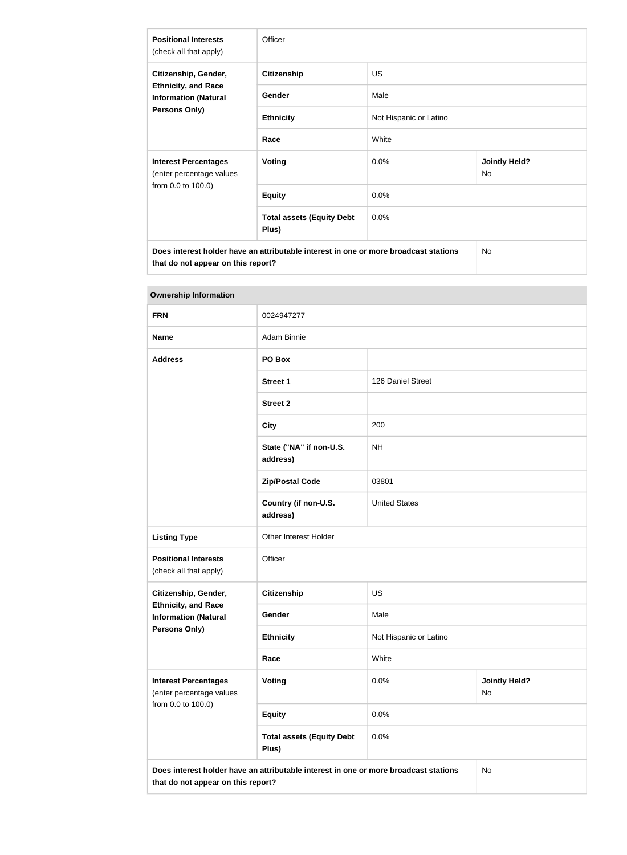| <b>Positional Interests</b><br>(check all that apply)                                              | Officer                                   |                        |                                   |
|----------------------------------------------------------------------------------------------------|-------------------------------------------|------------------------|-----------------------------------|
| Citizenship, Gender,<br><b>Ethnicity, and Race</b><br><b>Information (Natural</b><br>Persons Only) | <b>Citizenship</b>                        | <b>US</b>              |                                   |
|                                                                                                    | Gender                                    | Male                   |                                   |
|                                                                                                    | <b>Ethnicity</b>                          | Not Hispanic or Latino |                                   |
|                                                                                                    | Race                                      | White                  |                                   |
| <b>Interest Percentages</b><br>(enter percentage values<br>from 0.0 to 100.0)                      | <b>Voting</b>                             | 0.0%                   | <b>Jointly Held?</b><br><b>No</b> |
|                                                                                                    | <b>Equity</b>                             | 0.0%                   |                                   |
|                                                                                                    | <b>Total assets (Equity Debt</b><br>Plus) | 0.0%                   |                                   |
| Does interest holder have an attributable interest in one or more broadcast stations               |                                           |                        | No.                               |

**that do not appear on this report?**

| <b>Ownership Information</b>                                                                                                     |                                           |                        |                            |
|----------------------------------------------------------------------------------------------------------------------------------|-------------------------------------------|------------------------|----------------------------|
| <b>FRN</b>                                                                                                                       | 0024947277                                |                        |                            |
| <b>Name</b>                                                                                                                      | Adam Binnie                               |                        |                            |
| <b>Address</b>                                                                                                                   | PO Box                                    |                        |                            |
|                                                                                                                                  | <b>Street 1</b>                           | 126 Daniel Street      |                            |
|                                                                                                                                  | <b>Street 2</b>                           |                        |                            |
|                                                                                                                                  | <b>City</b>                               | 200                    |                            |
|                                                                                                                                  | State ("NA" if non-U.S.<br>address)       | <b>NH</b>              |                            |
|                                                                                                                                  | <b>Zip/Postal Code</b>                    | 03801                  |                            |
|                                                                                                                                  | Country (if non-U.S.<br>address)          | <b>United States</b>   |                            |
| <b>Listing Type</b>                                                                                                              | Other Interest Holder                     |                        |                            |
| <b>Positional Interests</b><br>(check all that apply)                                                                            | Officer                                   |                        |                            |
| Citizenship, Gender,<br><b>Ethnicity, and Race</b><br><b>Information (Natural</b>                                                | <b>Citizenship</b>                        | <b>US</b>              |                            |
|                                                                                                                                  | Gender                                    | Male                   |                            |
| <b>Persons Only)</b>                                                                                                             | <b>Ethnicity</b>                          | Not Hispanic or Latino |                            |
|                                                                                                                                  | Race                                      | White                  |                            |
| <b>Interest Percentages</b><br>(enter percentage values                                                                          | <b>Voting</b>                             | 0.0%                   | <b>Jointly Held?</b><br>No |
| from 0.0 to 100.0)                                                                                                               | <b>Equity</b>                             | 0.0%                   |                            |
|                                                                                                                                  | <b>Total assets (Equity Debt</b><br>Plus) | 0.0%                   |                            |
| Does interest holder have an attributable interest in one or more broadcast stations<br>No<br>that do not appear on this report? |                                           |                        |                            |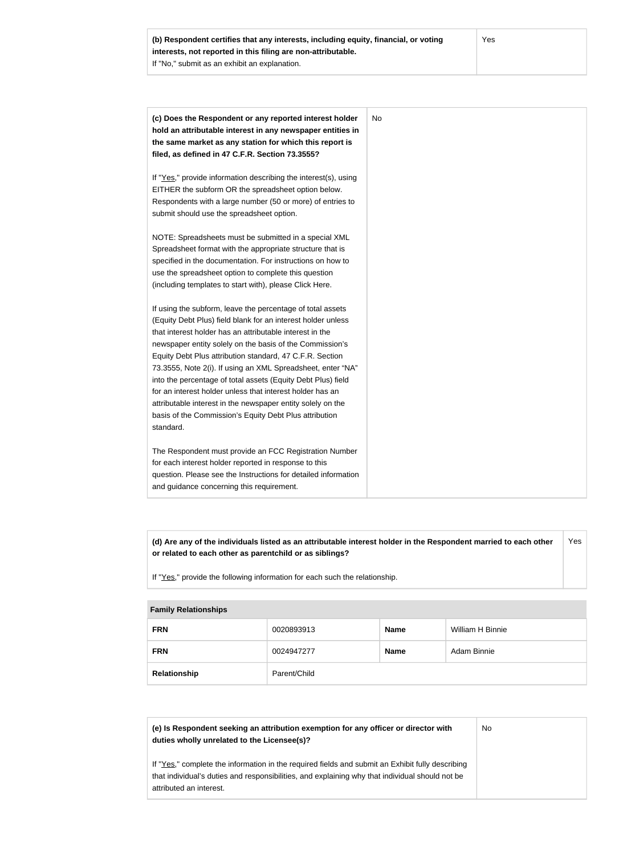| (c) Does the Respondent or any reported interest holder<br>hold an attributable interest in any newspaper entities in | No. |
|-----------------------------------------------------------------------------------------------------------------------|-----|
| the same market as any station for which this report is                                                               |     |
| filed, as defined in 47 C.F.R. Section 73.3555?                                                                       |     |
| If "Yes," provide information describing the interest(s), using                                                       |     |
| EITHER the subform OR the spreadsheet option below.                                                                   |     |
| Respondents with a large number (50 or more) of entries to                                                            |     |
| submit should use the spreadsheet option.                                                                             |     |
| NOTE: Spreadsheets must be submitted in a special XML                                                                 |     |
| Spreadsheet format with the appropriate structure that is                                                             |     |
| specified in the documentation. For instructions on how to                                                            |     |
| use the spreadsheet option to complete this question                                                                  |     |
| (including templates to start with), please Click Here.                                                               |     |
| If using the subform, leave the percentage of total assets                                                            |     |
| (Equity Debt Plus) field blank for an interest holder unless                                                          |     |
| that interest holder has an attributable interest in the                                                              |     |
| newspaper entity solely on the basis of the Commission's                                                              |     |
| Equity Debt Plus attribution standard, 47 C.F.R. Section                                                              |     |
| 73.3555, Note 2(i). If using an XML Spreadsheet, enter "NA"                                                           |     |
| into the percentage of total assets (Equity Debt Plus) field                                                          |     |
| for an interest holder unless that interest holder has an                                                             |     |
| attributable interest in the newspaper entity solely on the                                                           |     |
| basis of the Commission's Equity Debt Plus attribution                                                                |     |
| standard.                                                                                                             |     |
| The Respondent must provide an FCC Registration Number                                                                |     |
| for each interest holder reported in response to this                                                                 |     |
| question. Please see the Instructions for detailed information                                                        |     |
| and guidance concerning this requirement.                                                                             |     |

**(d) Are any of the individuals listed as an attributable interest holder in the Respondent married to each other or related to each other as parentchild or as siblings?** Yes

If "Yes," provide the following information for each such the relationship.

#### **Family Relationships**

| <b>FRN</b>   | 0020893913   | <b>Name</b> | William H Binnie |
|--------------|--------------|-------------|------------------|
| <b>FRN</b>   | 0024947277   | <b>Name</b> | Adam Binnie      |
| Relationship | Parent/Child |             |                  |

| (e) Is Respondent seeking an attribution exemption for any officer or director with<br>duties wholly unrelated to the Licensee(s)?                                                                                             | No |
|--------------------------------------------------------------------------------------------------------------------------------------------------------------------------------------------------------------------------------|----|
| If "Yes," complete the information in the required fields and submit an Exhibit fully describing<br>that individual's duties and responsibilities, and explaining why that individual should not be<br>attributed an interest. |    |